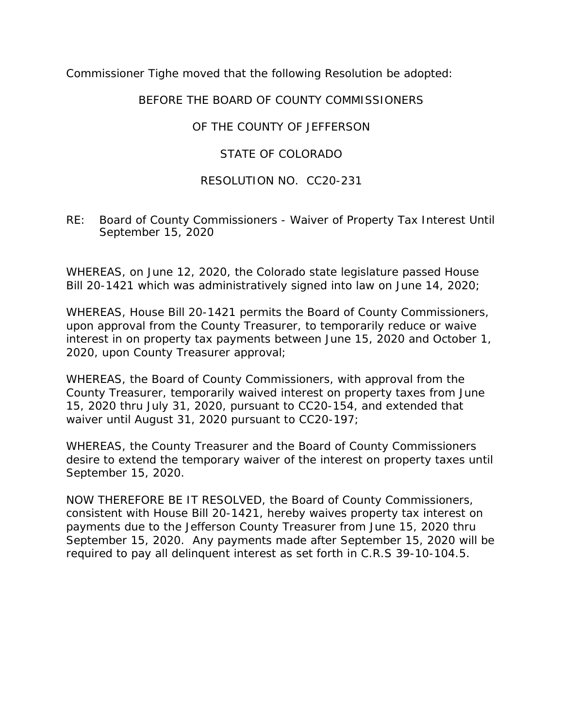Commissioner Tighe moved that the following Resolution be adopted:

## BEFORE THE BOARD OF COUNTY COMMISSIONERS

## OF THE COUNTY OF JEFFERSON

## STATE OF COLORADO

## RESOLUTION NO. CC20-231

RE: Board of County Commissioners - Waiver of Property Tax Interest Until September 15, 2020

WHEREAS, on June 12, 2020, the Colorado state legislature passed House Bill 20-1421 which was administratively signed into law on June 14, 2020;

WHEREAS, House Bill 20-1421 permits the Board of County Commissioners, upon approval from the County Treasurer, to temporarily reduce or waive interest in on property tax payments between June 15, 2020 and October 1, 2020, upon County Treasurer approval;

WHEREAS, the Board of County Commissioners, with approval from the County Treasurer, temporarily waived interest on property taxes from June 15, 2020 thru July 31, 2020, pursuant to CC20-154, and extended that waiver until August 31, 2020 pursuant to CC20-197;

WHEREAS, the County Treasurer and the Board of County Commissioners desire to extend the temporary waiver of the interest on property taxes until September 15, 2020.

NOW THEREFORE BE IT RESOLVED, the Board of County Commissioners, consistent with House Bill 20-1421, hereby waives property tax interest on payments due to the Jefferson County Treasurer from June 15, 2020 thru September 15, 2020. Any payments made after September 15, 2020 will be required to pay all delinquent interest as set forth in C.R.S 39-10-104.5.